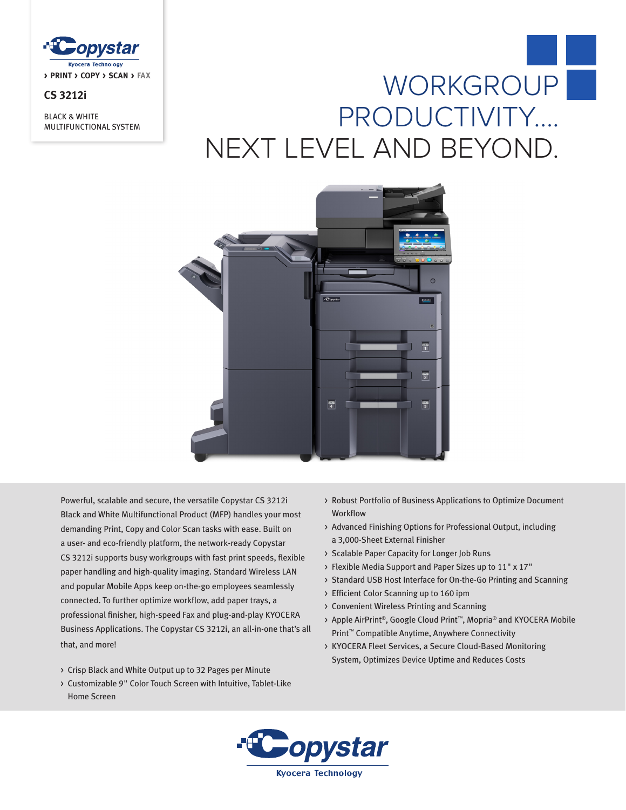

# **CS 3212i**

BLACK & WHITE MULTIFUNCTIONAL SYSTEM

# WORKGROUP PRODUCTIVITY…. NEXT LEVEL AND BEYOND.



Powerful, scalable and secure, the versatile Copystar CS 3212i Black and White Multifunctional Product (MFP) handles your most demanding Print, Copy and Color Scan tasks with ease. Built on a user- and eco-friendly platform, the network-ready Copystar CS 3212i supports busy workgroups with fast print speeds, flexible paper handling and high-quality imaging. Standard Wireless LAN and popular Mobile Apps keep on-the-go employees seamlessly connected. To further optimize workflow, add paper trays, a professional finisher, high-speed Fax and plug-and-play KYOCERA Business Applications. The Copystar CS 3212i, an all-in-one that's all that, and more!

- > Crisp Black and White Output up to 32 Pages per Minute
- > Customizable 9" Color Touch Screen with Intuitive, Tablet-Like Home Screen
- > Robust Portfolio of Business Applications to Optimize Document **Workflow**
- > Advanced Finishing Options for Professional Output, including a 3,000-Sheet External Finisher
- > Scalable Paper Capacity for Longer Job Runs
- > Flexible Media Support and Paper Sizes up to 11" x 17"
- > Standard USB Host Interface for On-the-Go Printing and Scanning
- > Efficient Color Scanning up to 160 ipm
- > Convenient Wireless Printing and Scanning
- > Apple AirPrint®, Google Cloud Print™, Mopria® and KYOCERA Mobile Print™ Compatible Anytime, Anywhere Connectivity
- > KYOCERA Fleet Services, a Secure Cloud-Based Monitoring System, Optimizes Device Uptime and Reduces Costs